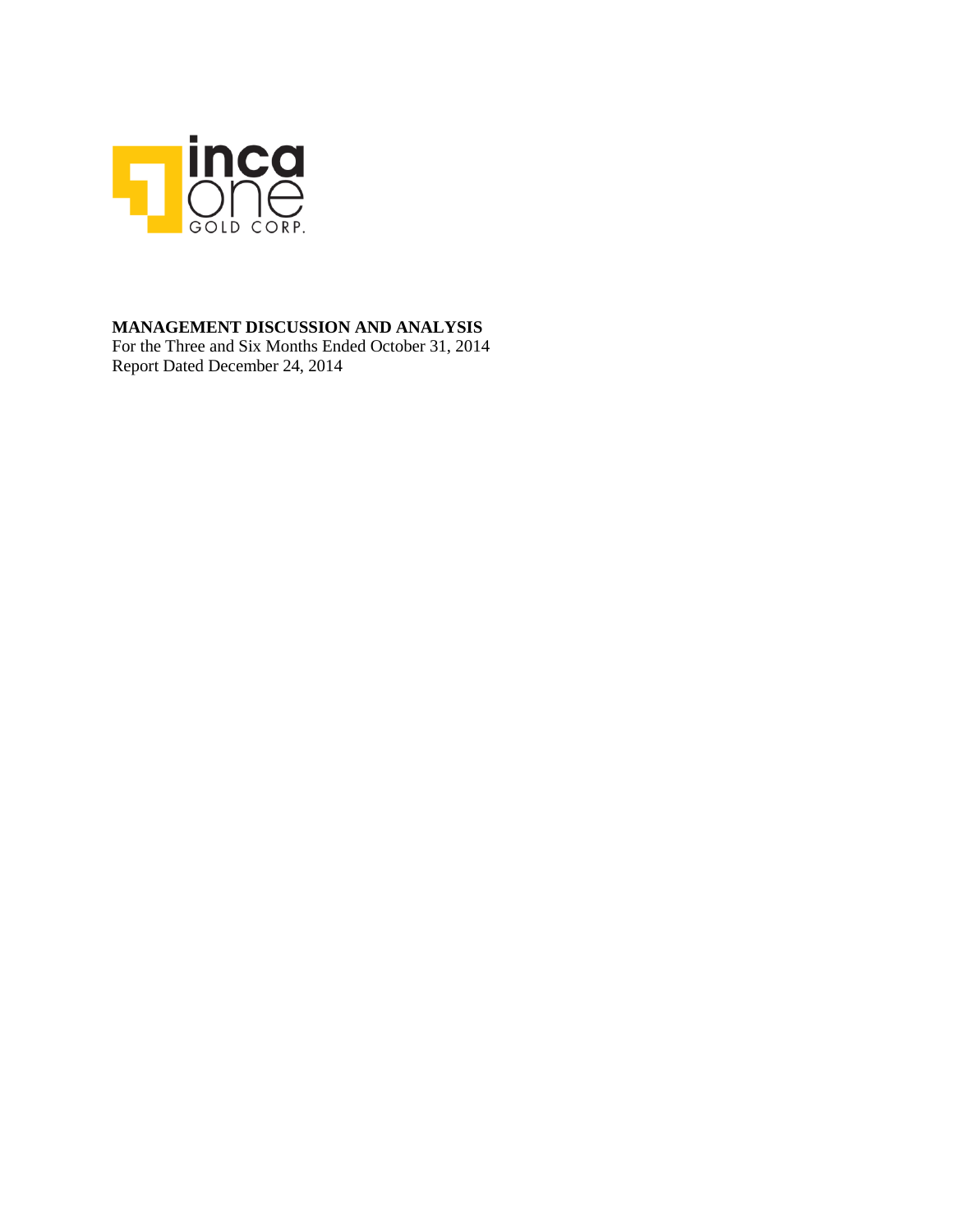

### **MANAGEMENT DISCUSSION AND ANALYSIS**

For the Three and Six Months Ended October 31, 2014 Report Dated December 24, 2014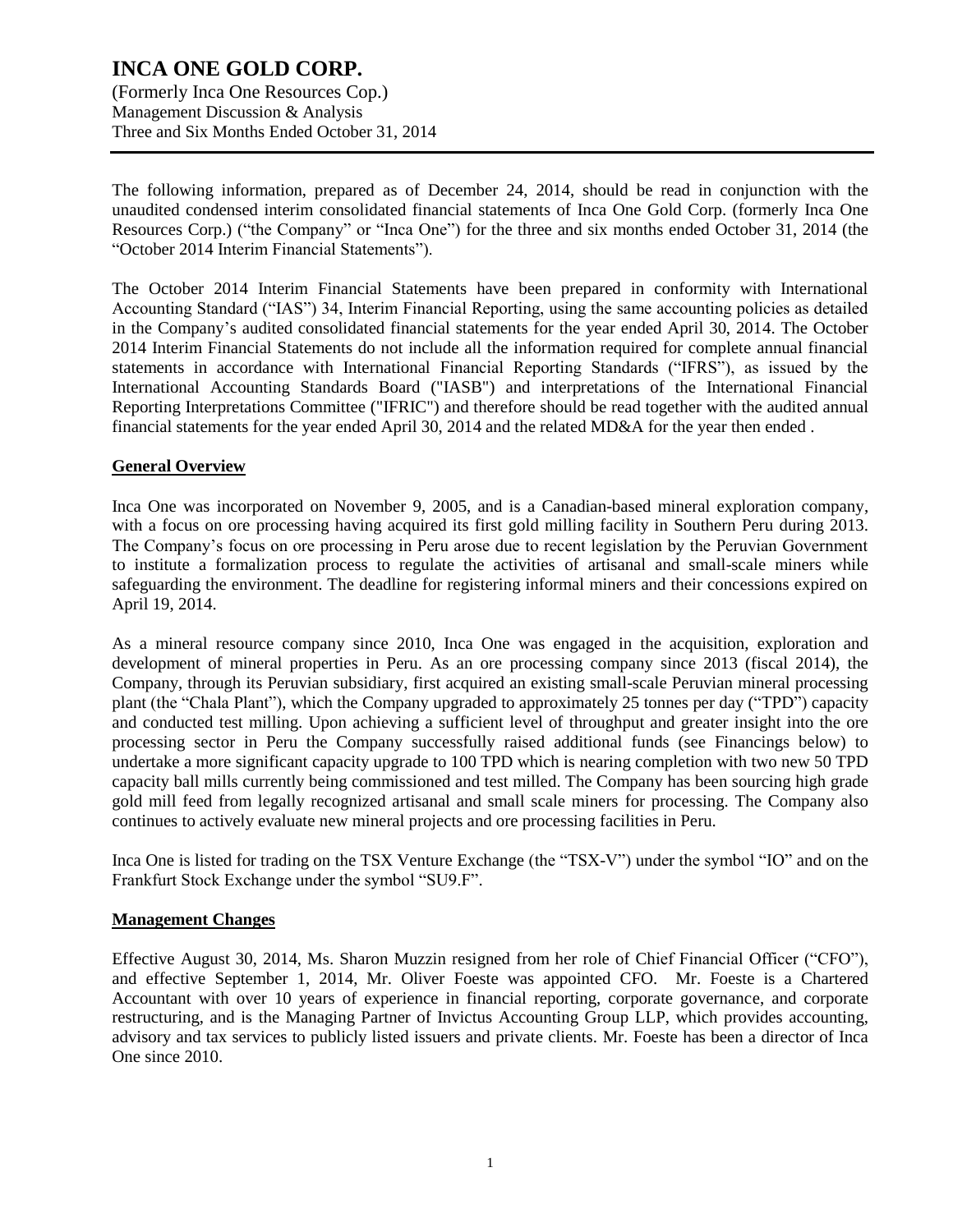(Formerly Inca One Resources Cop.) Management Discussion & Analysis Three and Six Months Ended October 31, 2014

The following information, prepared as of December 24, 2014, should be read in conjunction with the unaudited condensed interim consolidated financial statements of Inca One Gold Corp. (formerly Inca One Resources Corp.) ("the Company" or "Inca One") for the three and six months ended October 31, 2014 (the "October 2014 Interim Financial Statements").

The October 2014 Interim Financial Statements have been prepared in conformity with International Accounting Standard ("IAS") 34, Interim Financial Reporting, using the same accounting policies as detailed in the Company's audited consolidated financial statements for the year ended April 30, 2014. The October 2014 Interim Financial Statements do not include all the information required for complete annual financial statements in accordance with International Financial Reporting Standards ("IFRS"), as issued by the International Accounting Standards Board ("IASB") and interpretations of the International Financial Reporting Interpretations Committee ("IFRIC") and therefore should be read together with the audited annual financial statements for the year ended April 30, 2014 and the related MD&A for the year then ended .

### **General Overview**

Inca One was incorporated on November 9, 2005, and is a Canadian-based mineral exploration company, with a focus on ore processing having acquired its first gold milling facility in Southern Peru during 2013. The Company's focus on ore processing in Peru arose due to recent legislation by the Peruvian Government to institute a formalization process to regulate the activities of artisanal and small-scale miners while safeguarding the environment. The deadline for registering informal miners and their concessions expired on April 19, 2014.

As a mineral resource company since 2010, Inca One was engaged in the acquisition, exploration and development of mineral properties in Peru. As an ore processing company since 2013 (fiscal 2014), the Company, through its Peruvian subsidiary, first acquired an existing small-scale Peruvian mineral processing plant (the "Chala Plant"), which the Company upgraded to approximately 25 tonnes per day ("TPD") capacity and conducted test milling. Upon achieving a sufficient level of throughput and greater insight into the ore processing sector in Peru the Company successfully raised additional funds (see Financings below) to undertake a more significant capacity upgrade to 100 TPD which is nearing completion with two new 50 TPD capacity ball mills currently being commissioned and test milled. The Company has been sourcing high grade gold mill feed from legally recognized artisanal and small scale miners for processing. The Company also continues to actively evaluate new mineral projects and ore processing facilities in Peru.

Inca One is listed for trading on the TSX Venture Exchange (the "TSX-V") under the symbol "IO" and on the Frankfurt Stock Exchange under the symbol "SU9.F".

#### **Management Changes**

Effective August 30, 2014, Ms. Sharon Muzzin resigned from her role of Chief Financial Officer ("CFO"), and effective September 1, 2014, Mr. Oliver Foeste was appointed CFO. Mr. Foeste is a Chartered Accountant with over 10 years of experience in financial reporting, corporate governance, and corporate restructuring, and is the Managing Partner of Invictus Accounting Group LLP, which provides accounting, advisory and tax services to publicly listed issuers and private clients. Mr. Foeste has been a director of Inca One since 2010.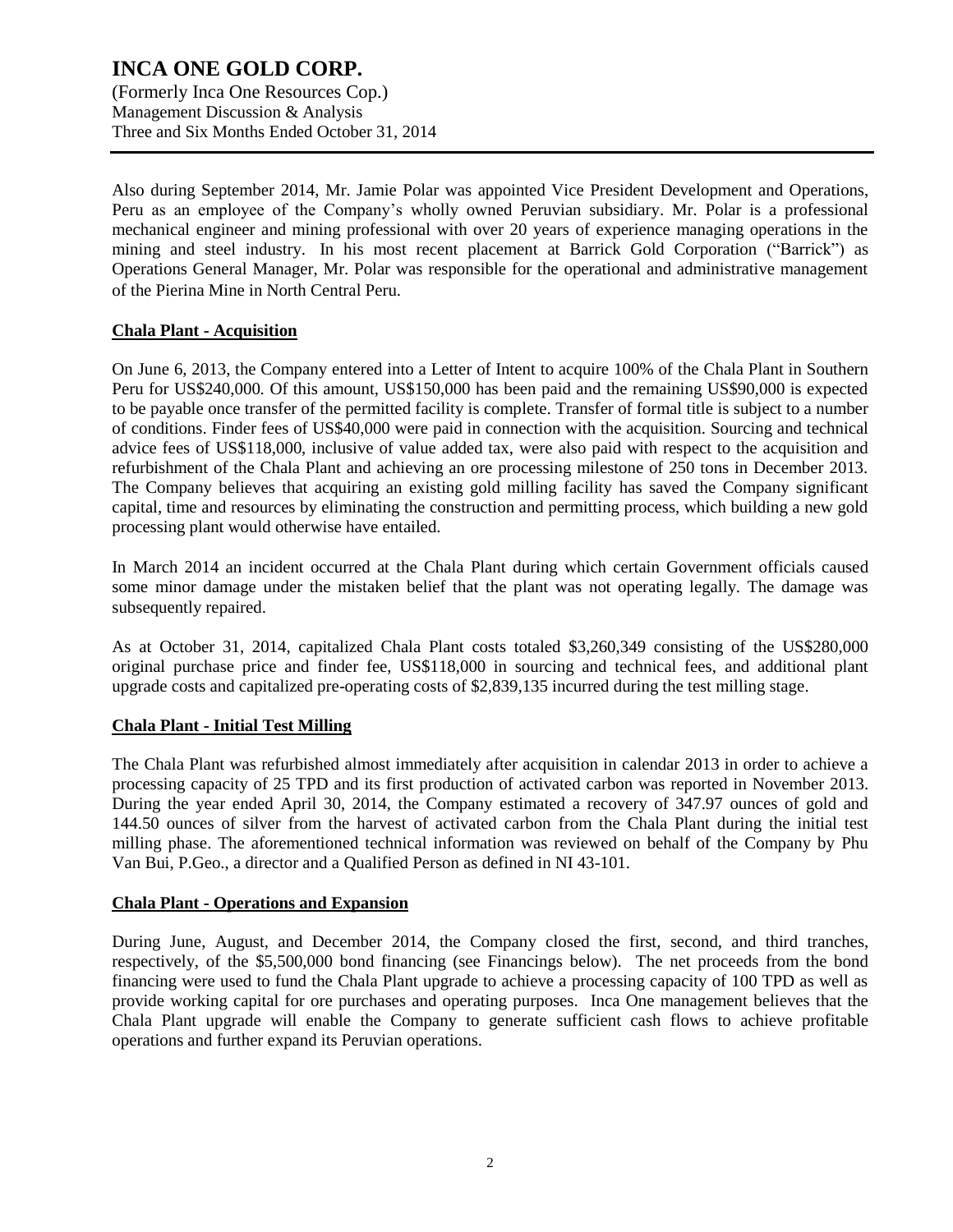(Formerly Inca One Resources Cop.) Management Discussion & Analysis Three and Six Months Ended October 31, 2014

Also during September 2014, Mr. Jamie Polar was appointed Vice President Development and Operations, Peru as an employee of the Company's wholly owned Peruvian subsidiary. Mr. Polar is a professional mechanical engineer and mining professional with over 20 years of experience managing operations in the mining and steel industry. In his most recent placement at Barrick Gold Corporation ("Barrick") as Operations General Manager, Mr. Polar was responsible for the operational and administrative management of the Pierina Mine in North Central Peru.

#### **Chala Plant - Acquisition**

On June 6, 2013, the Company entered into a Letter of Intent to acquire 100% of the Chala Plant in Southern Peru for US\$240,000. Of this amount, US\$150,000 has been paid and the remaining US\$90,000 is expected to be payable once transfer of the permitted facility is complete. Transfer of formal title is subject to a number of conditions. Finder fees of US\$40,000 were paid in connection with the acquisition. Sourcing and technical advice fees of US\$118,000, inclusive of value added tax, were also paid with respect to the acquisition and refurbishment of the Chala Plant and achieving an ore processing milestone of 250 tons in December 2013. The Company believes that acquiring an existing gold milling facility has saved the Company significant capital, time and resources by eliminating the construction and permitting process, which building a new gold processing plant would otherwise have entailed.

In March 2014 an incident occurred at the Chala Plant during which certain Government officials caused some minor damage under the mistaken belief that the plant was not operating legally. The damage was subsequently repaired.

As at October 31, 2014, capitalized Chala Plant costs totaled \$3,260,349 consisting of the US\$280,000 original purchase price and finder fee, US\$118,000 in sourcing and technical fees, and additional plant upgrade costs and capitalized pre-operating costs of \$2,839,135 incurred during the test milling stage.

#### **Chala Plant - Initial Test Milling**

The Chala Plant was refurbished almost immediately after acquisition in calendar 2013 in order to achieve a processing capacity of 25 TPD and its first production of activated carbon was reported in November 2013. During the year ended April 30, 2014, the Company estimated a recovery of 347.97 ounces of gold and 144.50 ounces of silver from the harvest of activated carbon from the Chala Plant during the initial test milling phase. The aforementioned technical information was reviewed on behalf of the Company by Phu Van Bui, P.Geo., a director and a Qualified Person as defined in NI 43-101.

#### **Chala Plant - Operations and Expansion**

During June, August, and December 2014, the Company closed the first, second, and third tranches, respectively, of the \$5,500,000 bond financing (see Financings below). The net proceeds from the bond financing were used to fund the Chala Plant upgrade to achieve a processing capacity of 100 TPD as well as provide working capital for ore purchases and operating purposes. Inca One management believes that the Chala Plant upgrade will enable the Company to generate sufficient cash flows to achieve profitable operations and further expand its Peruvian operations.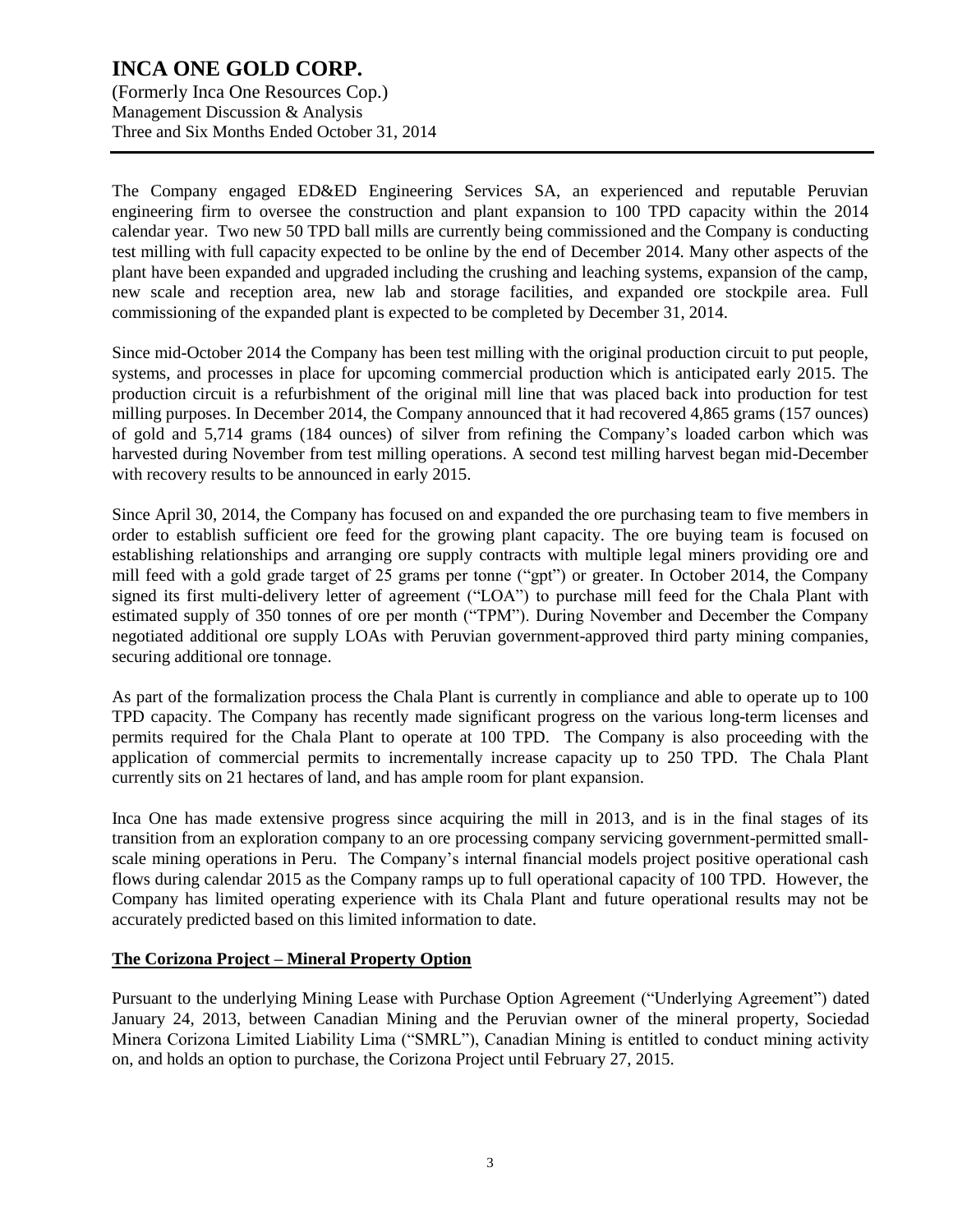(Formerly Inca One Resources Cop.) Management Discussion & Analysis Three and Six Months Ended October 31, 2014

The Company engaged ED&ED Engineering Services SA, an experienced and reputable Peruvian engineering firm to oversee the construction and plant expansion to 100 TPD capacity within the 2014 calendar year. Two new 50 TPD ball mills are currently being commissioned and the Company is conducting test milling with full capacity expected to be online by the end of December 2014. Many other aspects of the plant have been expanded and upgraded including the crushing and leaching systems, expansion of the camp, new scale and reception area, new lab and storage facilities, and expanded ore stockpile area. Full commissioning of the expanded plant is expected to be completed by December 31, 2014.

Since mid-October 2014 the Company has been test milling with the original production circuit to put people, systems, and processes in place for upcoming commercial production which is anticipated early 2015. The production circuit is a refurbishment of the original mill line that was placed back into production for test milling purposes. In December 2014, the Company announced that it had recovered 4,865 grams (157 ounces) of gold and 5,714 grams (184 ounces) of silver from refining the Company's loaded carbon which was harvested during November from test milling operations. A second test milling harvest began mid-December with recovery results to be announced in early 2015.

Since April 30, 2014, the Company has focused on and expanded the ore purchasing team to five members in order to establish sufficient ore feed for the growing plant capacity. The ore buying team is focused on establishing relationships and arranging ore supply contracts with multiple legal miners providing ore and mill feed with a gold grade target of 25 grams per tonne ("gpt") or greater. In October 2014, the Company signed its first multi-delivery letter of agreement ("LOA") to purchase mill feed for the Chala Plant with estimated supply of 350 tonnes of ore per month ("TPM"). During November and December the Company negotiated additional ore supply LOAs with Peruvian government-approved third party mining companies, securing additional ore tonnage.

As part of the formalization process the Chala Plant is currently in compliance and able to operate up to 100 TPD capacity. The Company has recently made significant progress on the various long-term licenses and permits required for the Chala Plant to operate at 100 TPD. The Company is also proceeding with the application of commercial permits to incrementally increase capacity up to 250 TPD. The Chala Plant currently sits on 21 hectares of land, and has ample room for plant expansion.

Inca One has made extensive progress since acquiring the mill in 2013, and is in the final stages of its transition from an exploration company to an ore processing company servicing government-permitted smallscale mining operations in Peru. The Company's internal financial models project positive operational cash flows during calendar 2015 as the Company ramps up to full operational capacity of 100 TPD. However, the Company has limited operating experience with its Chala Plant and future operational results may not be accurately predicted based on this limited information to date.

#### **The Corizona Project – Mineral Property Option**

Pursuant to the underlying Mining Lease with Purchase Option Agreement ("Underlying Agreement") dated January 24, 2013, between Canadian Mining and the Peruvian owner of the mineral property, Sociedad Minera Corizona Limited Liability Lima ("SMRL"), Canadian Mining is entitled to conduct mining activity on, and holds an option to purchase, the Corizona Project until February 27, 2015.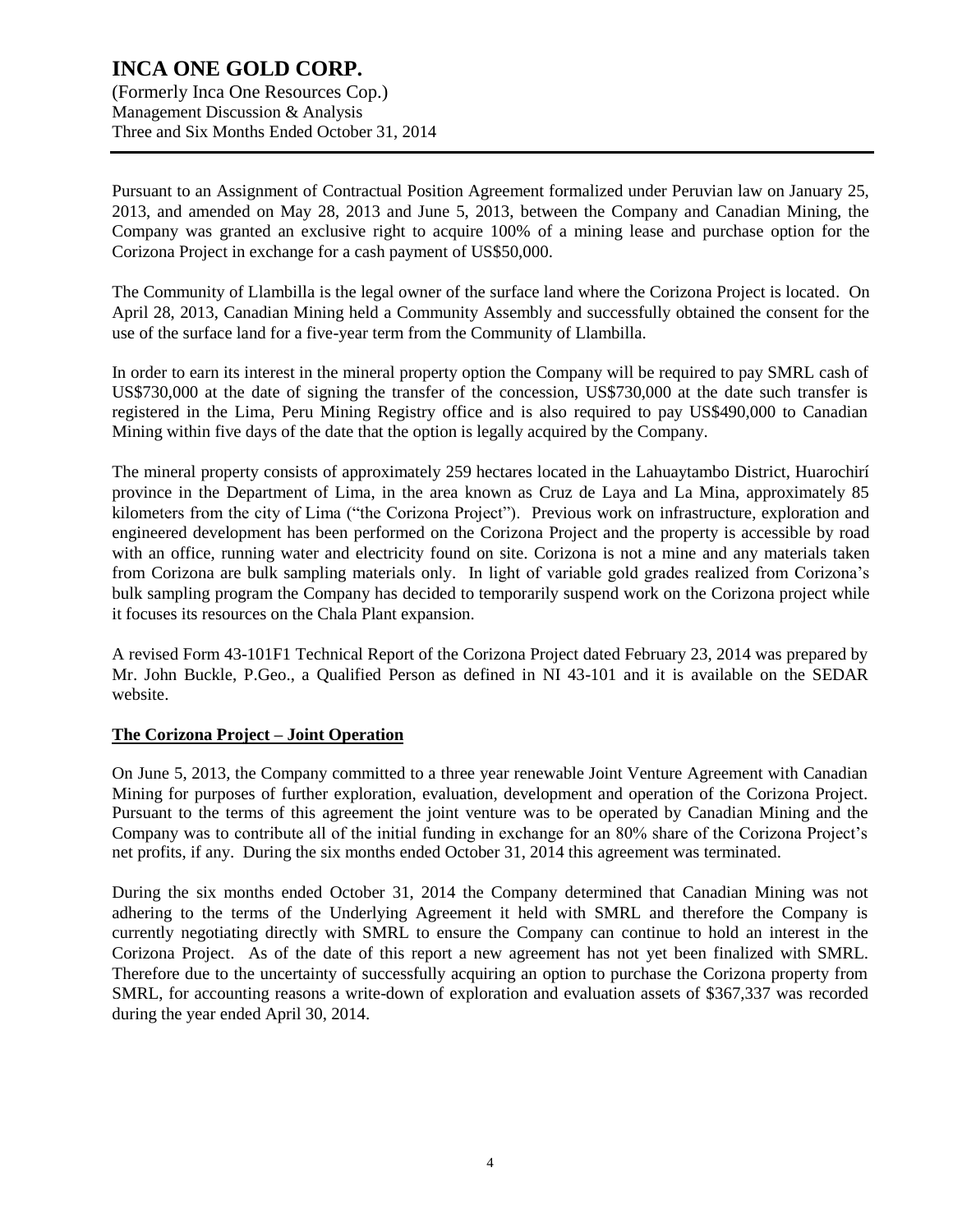(Formerly Inca One Resources Cop.) Management Discussion & Analysis Three and Six Months Ended October 31, 2014

Pursuant to an Assignment of Contractual Position Agreement formalized under Peruvian law on January 25, 2013, and amended on May 28, 2013 and June 5, 2013, between the Company and Canadian Mining, the Company was granted an exclusive right to acquire 100% of a mining lease and purchase option for the Corizona Project in exchange for a cash payment of US\$50,000.

The Community of Llambilla is the legal owner of the surface land where the Corizona Project is located. On April 28, 2013, Canadian Mining held a Community Assembly and successfully obtained the consent for the use of the surface land for a five-year term from the Community of Llambilla.

In order to earn its interest in the mineral property option the Company will be required to pay SMRL cash of US\$730,000 at the date of signing the transfer of the concession, US\$730,000 at the date such transfer is registered in the Lima, Peru Mining Registry office and is also required to pay US\$490,000 to Canadian Mining within five days of the date that the option is legally acquired by the Company.

The mineral property consists of approximately 259 hectares located in the Lahuaytambo District, Huarochirí province in the Department of Lima, in the area known as Cruz de Laya and La Mina, approximately 85 kilometers from the city of Lima ("the Corizona Project"). Previous work on infrastructure, exploration and engineered development has been performed on the Corizona Project and the property is accessible by road with an office, running water and electricity found on site. Corizona is not a mine and any materials taken from Corizona are bulk sampling materials only. In light of variable gold grades realized from Corizona's bulk sampling program the Company has decided to temporarily suspend work on the Corizona project while it focuses its resources on the Chala Plant expansion.

A revised Form 43-101F1 Technical Report of the Corizona Project dated February 23, 2014 was prepared by Mr. John Buckle, P.Geo., a Qualified Person as defined in NI 43-101 and it is available on the SEDAR website.

### **The Corizona Project – Joint Operation**

On June 5, 2013, the Company committed to a three year renewable Joint Venture Agreement with Canadian Mining for purposes of further exploration, evaluation, development and operation of the Corizona Project. Pursuant to the terms of this agreement the joint venture was to be operated by Canadian Mining and the Company was to contribute all of the initial funding in exchange for an 80% share of the Corizona Project's net profits, if any. During the six months ended October 31, 2014 this agreement was terminated.

During the six months ended October 31, 2014 the Company determined that Canadian Mining was not adhering to the terms of the Underlying Agreement it held with SMRL and therefore the Company is currently negotiating directly with SMRL to ensure the Company can continue to hold an interest in the Corizona Project. As of the date of this report a new agreement has not yet been finalized with SMRL. Therefore due to the uncertainty of successfully acquiring an option to purchase the Corizona property from SMRL, for accounting reasons a write-down of exploration and evaluation assets of \$367,337 was recorded during the year ended April 30, 2014.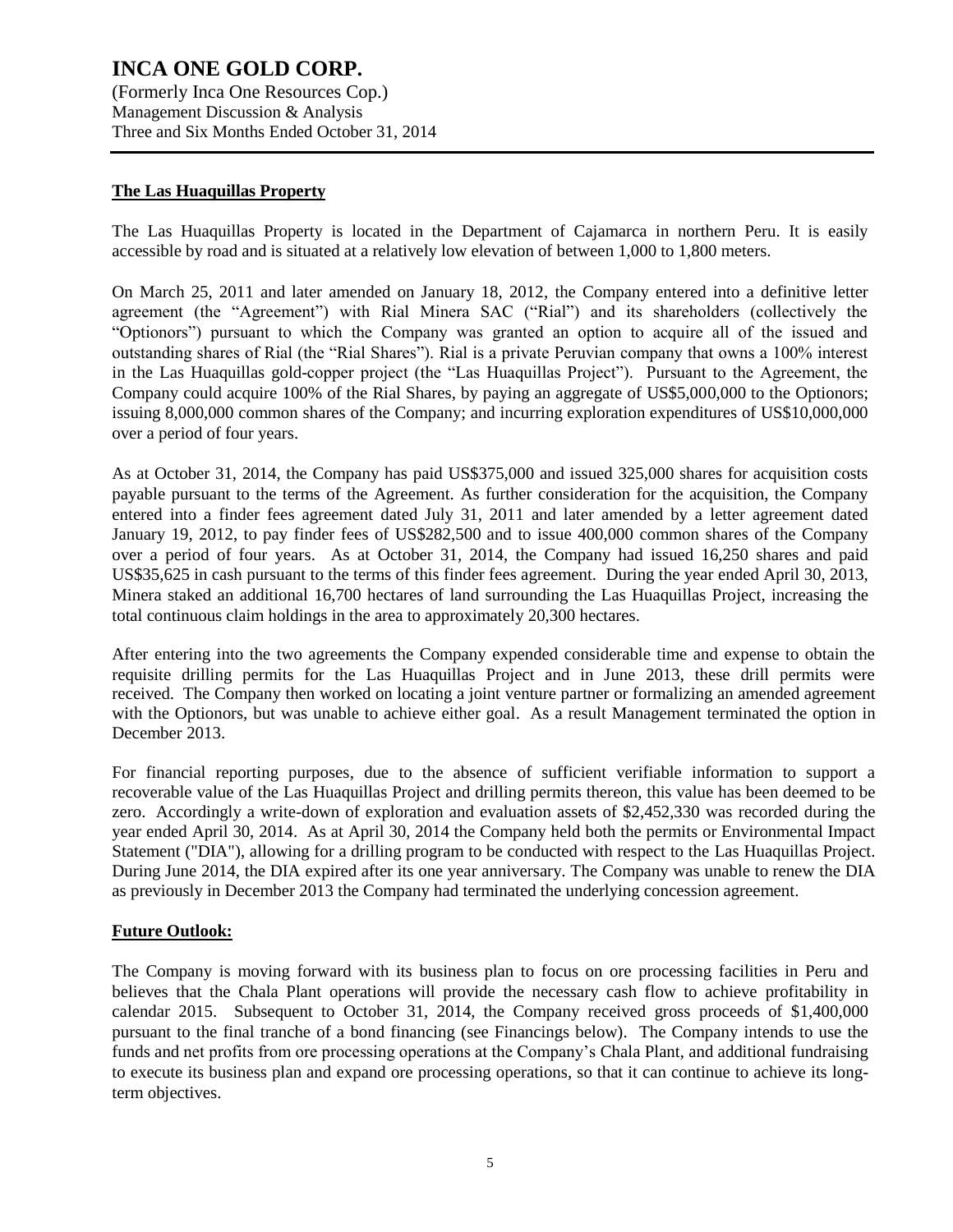(Formerly Inca One Resources Cop.) Management Discussion & Analysis Three and Six Months Ended October 31, 2014

### **The Las Huaquillas Property**

The Las Huaquillas Property is located in the Department of Cajamarca in northern Peru. It is easily accessible by road and is situated at a relatively low elevation of between 1,000 to 1,800 meters.

On March 25, 2011 and later amended on January 18, 2012, the Company entered into a definitive letter agreement (the "Agreement") with Rial Minera SAC ("Rial") and its shareholders (collectively the "Optionors") pursuant to which the Company was granted an option to acquire all of the issued and outstanding shares of Rial (the "Rial Shares"). Rial is a private Peruvian company that owns a 100% interest in the Las Huaquillas gold-copper project (the "Las Huaquillas Project"). Pursuant to the Agreement, the Company could acquire 100% of the Rial Shares, by paying an aggregate of US\$5,000,000 to the Optionors; issuing 8,000,000 common shares of the Company; and incurring exploration expenditures of US\$10,000,000 over a period of four years.

As at October 31, 2014, the Company has paid US\$375,000 and issued 325,000 shares for acquisition costs payable pursuant to the terms of the Agreement. As further consideration for the acquisition, the Company entered into a finder fees agreement dated July 31, 2011 and later amended by a letter agreement dated January 19, 2012, to pay finder fees of US\$282,500 and to issue 400,000 common shares of the Company over a period of four years. As at October 31, 2014, the Company had issued 16,250 shares and paid US\$35,625 in cash pursuant to the terms of this finder fees agreement. During the year ended April 30, 2013, Minera staked an additional 16,700 hectares of land surrounding the Las Huaquillas Project, increasing the total continuous claim holdings in the area to approximately 20,300 hectares.

After entering into the two agreements the Company expended considerable time and expense to obtain the requisite drilling permits for the Las Huaquillas Project and in June 2013, these drill permits were received. The Company then worked on locating a joint venture partner or formalizing an amended agreement with the Optionors, but was unable to achieve either goal. As a result Management terminated the option in December 2013.

For financial reporting purposes, due to the absence of sufficient verifiable information to support a recoverable value of the Las Huaquillas Project and drilling permits thereon, this value has been deemed to be zero. Accordingly a write-down of exploration and evaluation assets of \$2,452,330 was recorded during the year ended April 30, 2014. As at April 30, 2014 the Company held both the permits or Environmental Impact Statement ("DIA"), allowing for a drilling program to be conducted with respect to the Las Huaquillas Project. During June 2014, the DIA expired after its one year anniversary. The Company was unable to renew the DIA as previously in December 2013 the Company had terminated the underlying concession agreement.

#### **Future Outlook:**

The Company is moving forward with its business plan to focus on ore processing facilities in Peru and believes that the Chala Plant operations will provide the necessary cash flow to achieve profitability in calendar 2015. Subsequent to October 31, 2014, the Company received gross proceeds of \$1,400,000 pursuant to the final tranche of a bond financing (see Financings below). The Company intends to use the funds and net profits from ore processing operations at the Company's Chala Plant, and additional fundraising to execute its business plan and expand ore processing operations, so that it can continue to achieve its longterm objectives.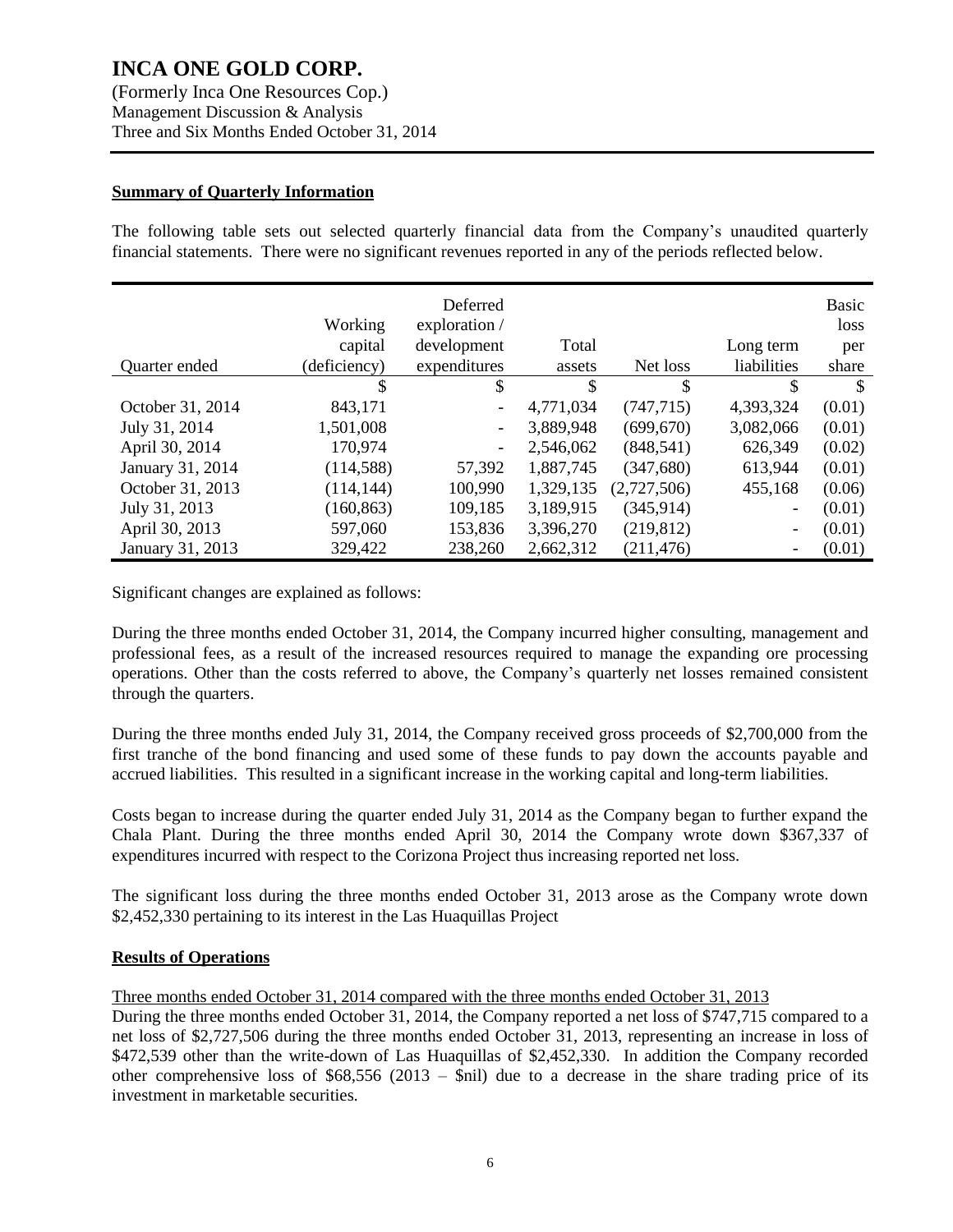(Formerly Inca One Resources Cop.) Management Discussion & Analysis Three and Six Months Ended October 31, 2014

### **Summary of Quarterly Information**

The following table sets out selected quarterly financial data from the Company's unaudited quarterly financial statements. There were no significant revenues reported in any of the periods reflected below.

|                  | Working      | Deferred<br>exploration / |           |             |             | Basic<br>loss |
|------------------|--------------|---------------------------|-----------|-------------|-------------|---------------|
|                  | capital      | development               | Total     |             | Long term   | per           |
| Quarter ended    | (deficiency) | expenditures              | assets    | Net loss    | liabilities | share         |
|                  | \$           | \$                        | \$        | \$          | \$          | $\mathbb{S}$  |
| October 31, 2014 | 843,171      | $\overline{\phantom{0}}$  | 4,771,034 | (747, 715)  | 4,393,324   | (0.01)        |
| July 31, 2014    | 1,501,008    | $\overline{\phantom{a}}$  | 3,889,948 | (699, 670)  | 3,082,066   | (0.01)        |
| April 30, 2014   | 170,974      | -                         | 2,546,062 | (848, 541)  | 626,349     | (0.02)        |
| January 31, 2014 | (114, 588)   | 57,392                    | 1,887,745 | (347,680)   | 613,944     | (0.01)        |
| October 31, 2013 | (114, 144)   | 100,990                   | 1,329,135 | (2,727,506) | 455,168     | (0.06)        |
| July 31, 2013    | (160, 863)   | 109,185                   | 3,189,915 | (345, 914)  | -           | (0.01)        |
| April 30, 2013   | 597,060      | 153,836                   | 3,396,270 | (219, 812)  | -           | (0.01)        |
| January 31, 2013 | 329,422      | 238,260                   | 2,662,312 | (211, 476)  |             | (0.01)        |

Significant changes are explained as follows:

During the three months ended October 31, 2014, the Company incurred higher consulting, management and professional fees, as a result of the increased resources required to manage the expanding ore processing operations. Other than the costs referred to above, the Company's quarterly net losses remained consistent through the quarters.

During the three months ended July 31, 2014, the Company received gross proceeds of \$2,700,000 from the first tranche of the bond financing and used some of these funds to pay down the accounts payable and accrued liabilities. This resulted in a significant increase in the working capital and long-term liabilities.

Costs began to increase during the quarter ended July 31, 2014 as the Company began to further expand the Chala Plant. During the three months ended April 30, 2014 the Company wrote down \$367,337 of expenditures incurred with respect to the Corizona Project thus increasing reported net loss.

The significant loss during the three months ended October 31, 2013 arose as the Company wrote down \$2,452,330 pertaining to its interest in the Las Huaquillas Project

### **Results of Operations**

Three months ended October 31, 2014 compared with the three months ended October 31, 2013

During the three months ended October 31, 2014, the Company reported a net loss of \$747,715 compared to a net loss of \$2,727,506 during the three months ended October 31, 2013, representing an increase in loss of \$472,539 other than the write-down of Las Huaquillas of \$2,452,330. In addition the Company recorded other comprehensive loss of  $$68,556$  (2013 –  $$nil$ ) due to a decrease in the share trading price of its investment in marketable securities.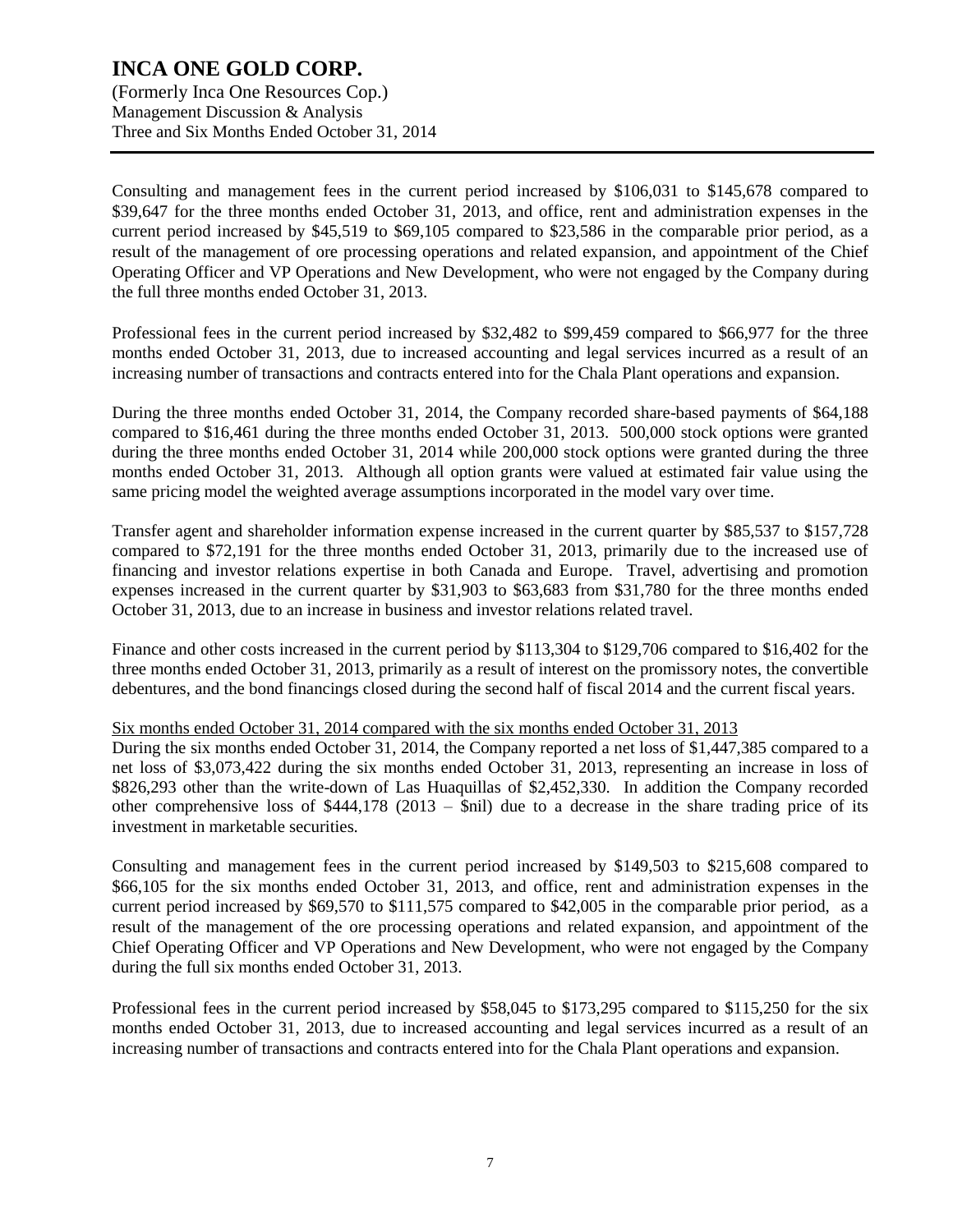(Formerly Inca One Resources Cop.) Management Discussion & Analysis Three and Six Months Ended October 31, 2014

Consulting and management fees in the current period increased by \$106,031 to \$145,678 compared to \$39,647 for the three months ended October 31, 2013, and office, rent and administration expenses in the current period increased by \$45,519 to \$69,105 compared to \$23,586 in the comparable prior period, as a result of the management of ore processing operations and related expansion, and appointment of the Chief Operating Officer and VP Operations and New Development, who were not engaged by the Company during the full three months ended October 31, 2013.

Professional fees in the current period increased by \$32,482 to \$99,459 compared to \$66,977 for the three months ended October 31, 2013, due to increased accounting and legal services incurred as a result of an increasing number of transactions and contracts entered into for the Chala Plant operations and expansion.

During the three months ended October 31, 2014, the Company recorded share-based payments of \$64,188 compared to \$16,461 during the three months ended October 31, 2013. 500,000 stock options were granted during the three months ended October 31, 2014 while 200,000 stock options were granted during the three months ended October 31, 2013. Although all option grants were valued at estimated fair value using the same pricing model the weighted average assumptions incorporated in the model vary over time.

Transfer agent and shareholder information expense increased in the current quarter by \$85,537 to \$157,728 compared to \$72,191 for the three months ended October 31, 2013, primarily due to the increased use of financing and investor relations expertise in both Canada and Europe. Travel, advertising and promotion expenses increased in the current quarter by \$31,903 to \$63,683 from \$31,780 for the three months ended October 31, 2013, due to an increase in business and investor relations related travel.

Finance and other costs increased in the current period by \$113,304 to \$129,706 compared to \$16,402 for the three months ended October 31, 2013, primarily as a result of interest on the promissory notes, the convertible debentures, and the bond financings closed during the second half of fiscal 2014 and the current fiscal years.

#### Six months ended October 31, 2014 compared with the six months ended October 31, 2013

During the six months ended October 31, 2014, the Company reported a net loss of \$1,447,385 compared to a net loss of \$3,073,422 during the six months ended October 31, 2013, representing an increase in loss of \$826,293 other than the write-down of Las Huaquillas of \$2,452,330. In addition the Company recorded other comprehensive loss of  $$444,178$  (2013 –  $$nil$ ) due to a decrease in the share trading price of its investment in marketable securities.

Consulting and management fees in the current period increased by \$149,503 to \$215,608 compared to \$66,105 for the six months ended October 31, 2013, and office, rent and administration expenses in the current period increased by \$69,570 to \$111,575 compared to \$42,005 in the comparable prior period, as a result of the management of the ore processing operations and related expansion, and appointment of the Chief Operating Officer and VP Operations and New Development, who were not engaged by the Company during the full six months ended October 31, 2013.

Professional fees in the current period increased by \$58,045 to \$173,295 compared to \$115,250 for the six months ended October 31, 2013, due to increased accounting and legal services incurred as a result of an increasing number of transactions and contracts entered into for the Chala Plant operations and expansion.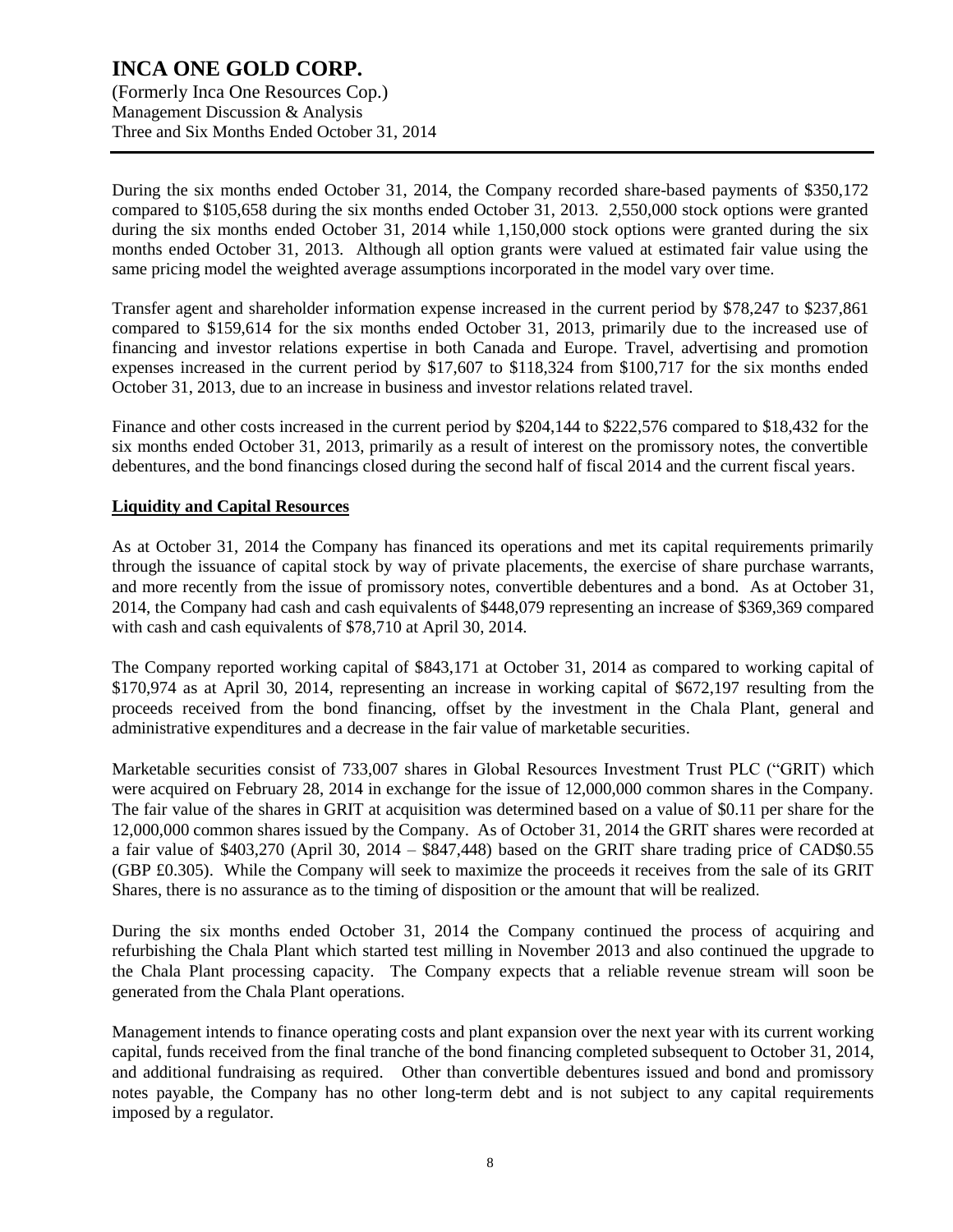(Formerly Inca One Resources Cop.) Management Discussion & Analysis Three and Six Months Ended October 31, 2014

During the six months ended October 31, 2014, the Company recorded share-based payments of \$350,172 compared to \$105,658 during the six months ended October 31, 2013. 2,550,000 stock options were granted during the six months ended October 31, 2014 while 1,150,000 stock options were granted during the six months ended October 31, 2013. Although all option grants were valued at estimated fair value using the same pricing model the weighted average assumptions incorporated in the model vary over time.

Transfer agent and shareholder information expense increased in the current period by \$78,247 to \$237,861 compared to \$159,614 for the six months ended October 31, 2013, primarily due to the increased use of financing and investor relations expertise in both Canada and Europe. Travel, advertising and promotion expenses increased in the current period by \$17,607 to \$118,324 from \$100,717 for the six months ended October 31, 2013, due to an increase in business and investor relations related travel.

Finance and other costs increased in the current period by \$204,144 to \$222,576 compared to \$18,432 for the six months ended October 31, 2013, primarily as a result of interest on the promissory notes, the convertible debentures, and the bond financings closed during the second half of fiscal 2014 and the current fiscal years.

### **Liquidity and Capital Resources**

As at October 31, 2014 the Company has financed its operations and met its capital requirements primarily through the issuance of capital stock by way of private placements, the exercise of share purchase warrants, and more recently from the issue of promissory notes, convertible debentures and a bond. As at October 31, 2014, the Company had cash and cash equivalents of \$448,079 representing an increase of \$369,369 compared with cash and cash equivalents of \$78,710 at April 30, 2014.

The Company reported working capital of \$843,171 at October 31, 2014 as compared to working capital of \$170,974 as at April 30, 2014, representing an increase in working capital of \$672,197 resulting from the proceeds received from the bond financing, offset by the investment in the Chala Plant, general and administrative expenditures and a decrease in the fair value of marketable securities.

Marketable securities consist of 733,007 shares in Global Resources Investment Trust PLC ("GRIT) which were acquired on February 28, 2014 in exchange for the issue of 12,000,000 common shares in the Company. The fair value of the shares in GRIT at acquisition was determined based on a value of \$0.11 per share for the 12,000,000 common shares issued by the Company. As of October 31, 2014 the GRIT shares were recorded at a fair value of \$403,270 (April 30, 2014 – \$847,448) based on the GRIT share trading price of CAD\$0.55 (GBP £0.305). While the Company will seek to maximize the proceeds it receives from the sale of its GRIT Shares, there is no assurance as to the timing of disposition or the amount that will be realized.

During the six months ended October 31, 2014 the Company continued the process of acquiring and refurbishing the Chala Plant which started test milling in November 2013 and also continued the upgrade to the Chala Plant processing capacity. The Company expects that a reliable revenue stream will soon be generated from the Chala Plant operations.

Management intends to finance operating costs and plant expansion over the next year with its current working capital, funds received from the final tranche of the bond financing completed subsequent to October 31, 2014, and additional fundraising as required. Other than convertible debentures issued and bond and promissory notes payable, the Company has no other long-term debt and is not subject to any capital requirements imposed by a regulator.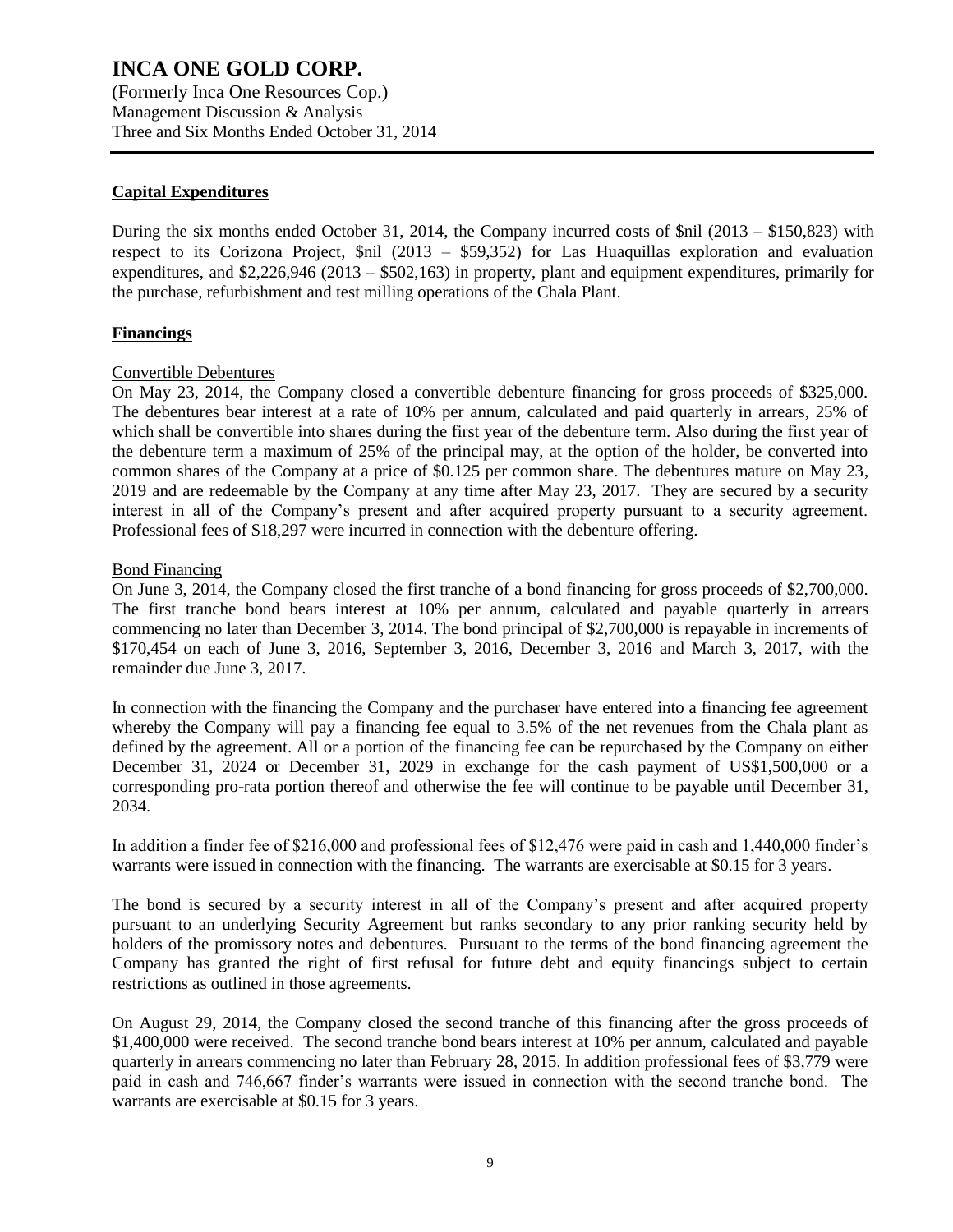(Formerly Inca One Resources Cop.) Management Discussion & Analysis Three and Six Months Ended October 31, 2014

### **Capital Expenditures**

During the six months ended October 31, 2014, the Company incurred costs of \$nil (2013 – \$150,823) with respect to its Corizona Project, \$nil (2013 – \$59,352) for Las Huaquillas exploration and evaluation expenditures, and \$2,226,946 (2013 – \$502,163) in property, plant and equipment expenditures, primarily for the purchase, refurbishment and test milling operations of the Chala Plant.

### **Financings**

#### Convertible Debentures

On May 23, 2014, the Company closed a convertible debenture financing for gross proceeds of \$325,000. The debentures bear interest at a rate of 10% per annum, calculated and paid quarterly in arrears, 25% of which shall be convertible into shares during the first year of the debenture term. Also during the first year of the debenture term a maximum of 25% of the principal may, at the option of the holder, be converted into common shares of the Company at a price of \$0.125 per common share. The debentures mature on May 23, 2019 and are redeemable by the Company at any time after May 23, 2017. They are secured by a security interest in all of the Company's present and after acquired property pursuant to a security agreement. Professional fees of \$18,297 were incurred in connection with the debenture offering.

#### Bond Financing

On June 3, 2014, the Company closed the first tranche of a bond financing for gross proceeds of \$2,700,000. The first tranche bond bears interest at 10% per annum, calculated and payable quarterly in arrears commencing no later than December 3, 2014. The bond principal of \$2,700,000 is repayable in increments of \$170,454 on each of June 3, 2016, September 3, 2016, December 3, 2016 and March 3, 2017, with the remainder due June 3, 2017.

In connection with the financing the Company and the purchaser have entered into a financing fee agreement whereby the Company will pay a financing fee equal to 3.5% of the net revenues from the Chala plant as defined by the agreement. All or a portion of the financing fee can be repurchased by the Company on either December 31, 2024 or December 31, 2029 in exchange for the cash payment of US\$1,500,000 or a corresponding pro-rata portion thereof and otherwise the fee will continue to be payable until December 31, 2034.

In addition a finder fee of \$216,000 and professional fees of \$12,476 were paid in cash and 1,440,000 finder's warrants were issued in connection with the financing. The warrants are exercisable at \$0.15 for 3 years.

The bond is secured by a security interest in all of the Company's present and after acquired property pursuant to an underlying Security Agreement but ranks secondary to any prior ranking security held by holders of the promissory notes and debentures. Pursuant to the terms of the bond financing agreement the Company has granted the right of first refusal for future debt and equity financings subject to certain restrictions as outlined in those agreements.

On August 29, 2014, the Company closed the second tranche of this financing after the gross proceeds of \$1,400,000 were received. The second tranche bond bears interest at 10% per annum, calculated and payable quarterly in arrears commencing no later than February 28, 2015. In addition professional fees of \$3,779 were paid in cash and 746,667 finder's warrants were issued in connection with the second tranche bond. The warrants are exercisable at \$0.15 for 3 years.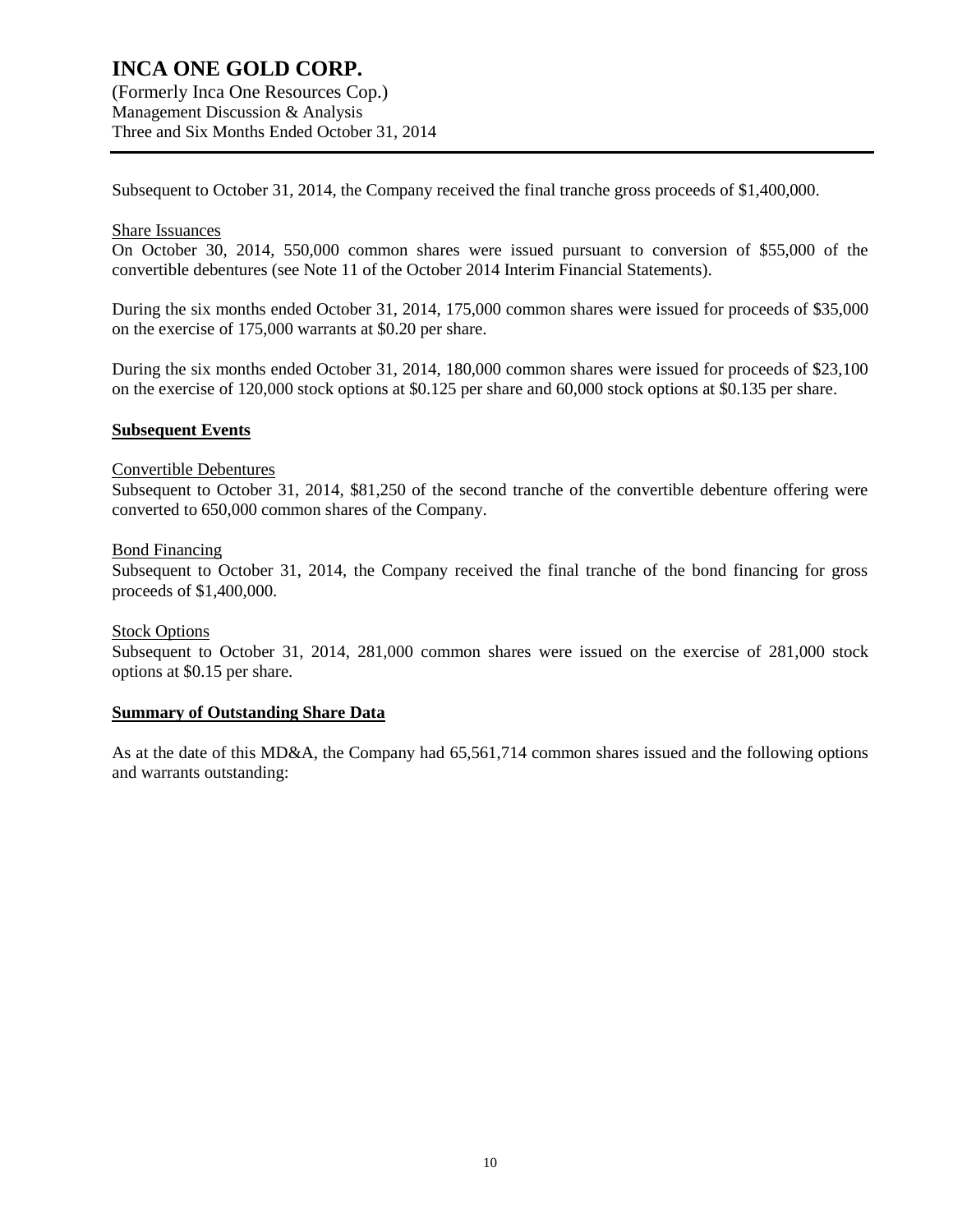(Formerly Inca One Resources Cop.) Management Discussion & Analysis Three and Six Months Ended October 31, 2014

Subsequent to October 31, 2014, the Company received the final tranche gross proceeds of \$1,400,000.

#### Share Issuances

On October 30, 2014, 550,000 common shares were issued pursuant to conversion of \$55,000 of the convertible debentures (see Note 11 of the October 2014 Interim Financial Statements).

During the six months ended October 31, 2014, 175,000 common shares were issued for proceeds of \$35,000 on the exercise of 175,000 warrants at \$0.20 per share.

During the six months ended October 31, 2014, 180,000 common shares were issued for proceeds of \$23,100 on the exercise of 120,000 stock options at \$0.125 per share and 60,000 stock options at \$0.135 per share.

#### **Subsequent Events**

#### Convertible Debentures

Subsequent to October 31, 2014, \$81,250 of the second tranche of the convertible debenture offering were converted to 650,000 common shares of the Company.

#### Bond Financing

Subsequent to October 31, 2014, the Company received the final tranche of the bond financing for gross proceeds of \$1,400,000.

#### Stock Options

Subsequent to October 31, 2014, 281,000 common shares were issued on the exercise of 281,000 stock options at \$0.15 per share.

#### **Summary of Outstanding Share Data**

As at the date of this MD&A, the Company had 65,561,714 common shares issued and the following options and warrants outstanding: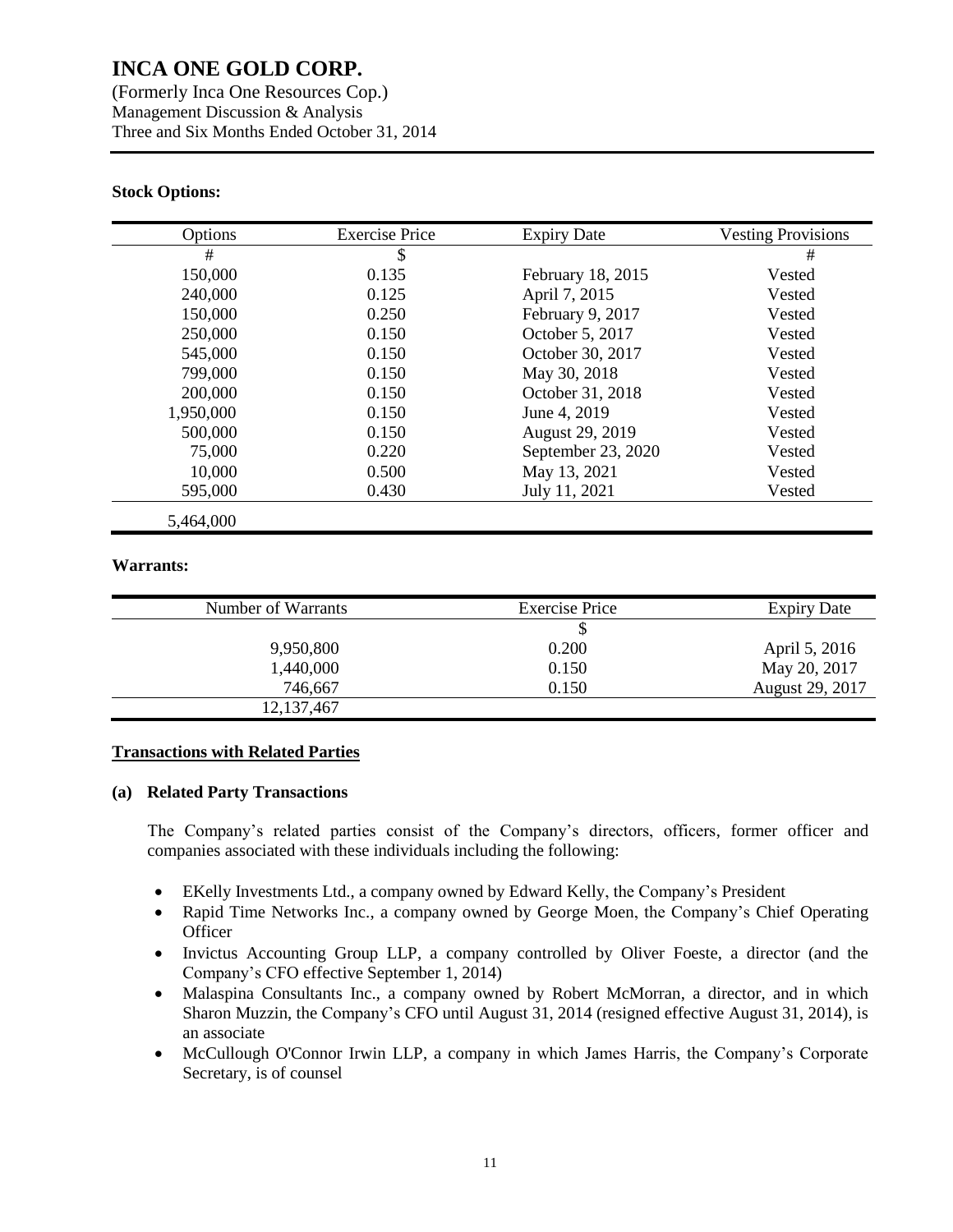(Formerly Inca One Resources Cop.) Management Discussion & Analysis Three and Six Months Ended October 31, 2014

### **Stock Options:**

| Options   | <b>Exercise Price</b> | <b>Expiry Date</b> | <b>Vesting Provisions</b> |
|-----------|-----------------------|--------------------|---------------------------|
| #         | \$                    |                    | #                         |
| 150,000   | 0.135                 | February 18, 2015  | Vested                    |
| 240,000   | 0.125                 | April 7, 2015      | Vested                    |
| 150,000   | 0.250                 | February 9, 2017   | Vested                    |
| 250,000   | 0.150                 | October 5, 2017    | Vested                    |
| 545,000   | 0.150                 | October 30, 2017   | Vested                    |
| 799,000   | 0.150                 | May 30, 2018       | Vested                    |
| 200,000   | 0.150                 | October 31, 2018   | Vested                    |
| 1,950,000 | 0.150                 | June 4, 2019       | Vested                    |
| 500,000   | 0.150                 | August 29, 2019    | Vested                    |
| 75,000    | 0.220                 | September 23, 2020 | Vested                    |
| 10,000    | 0.500                 | May 13, 2021       | Vested                    |
| 595,000   | 0.430                 | July 11, 2021      | Vested                    |
| 5,464,000 |                       |                    |                           |

#### **Warrants:**

| Number of Warrants | <b>Exercise Price</b> | <b>Expiry Date</b> |
|--------------------|-----------------------|--------------------|
|                    |                       |                    |
| 9,950,800          | 0.200                 | April 5, 2016      |
| 1,440,000          | 0.150                 | May 20, 2017       |
| 746,667            | 0.150                 | August 29, 2017    |
| 12, 137, 467       |                       |                    |
|                    |                       |                    |

### **Transactions with Related Parties**

#### **(a) Related Party Transactions**

The Company's related parties consist of the Company's directors, officers, former officer and companies associated with these individuals including the following:

- EKelly Investments Ltd., a company owned by Edward Kelly, the Company's President
- Rapid Time Networks Inc., a company owned by George Moen, the Company's Chief Operating **Officer**
- Invictus Accounting Group LLP, a company controlled by Oliver Foeste, a director (and the Company's CFO effective September 1, 2014)
- Malaspina Consultants Inc., a company owned by Robert McMorran, a director, and in which Sharon Muzzin, the Company's CFO until August 31, 2014 (resigned effective August 31, 2014), is an associate
- McCullough O'Connor Irwin LLP, a company in which James Harris, the Company's Corporate Secretary, is of counsel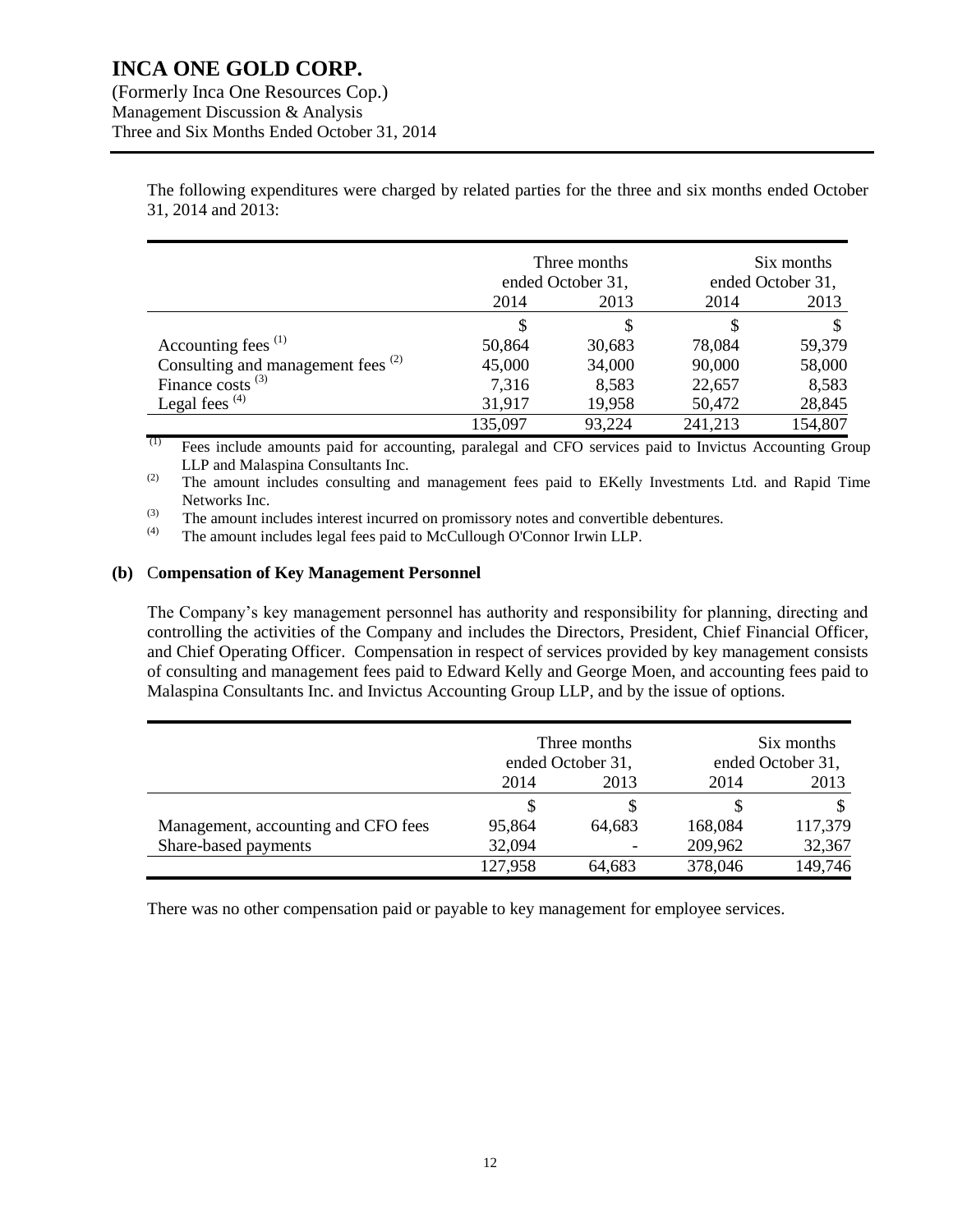(Formerly Inca One Resources Cop.) Management Discussion & Analysis Three and Six Months Ended October 31, 2014

> The following expenditures were charged by related parties for the three and six months ended October 31, 2014 and 2013:

|                                               | Three months<br>ended October 31, |        | Six months<br>ended October 31, |         |
|-----------------------------------------------|-----------------------------------|--------|---------------------------------|---------|
|                                               | 2014                              | 2013   | 2014                            | 2013    |
|                                               | S                                 | S      | S                               | \$      |
| Accounting fees <sup>(1)</sup>                | 50,864                            | 30,683 | 78,084                          | 59,379  |
| Consulting and management fees <sup>(2)</sup> | 45,000                            | 34,000 | 90,000                          | 58,000  |
| Finance costs $^{(3)}$                        | 7,316                             | 8,583  | 22,657                          | 8,583   |
| Legal fees $(4)$                              | 31,917                            | 19,958 | 50,472                          | 28,845  |
|                                               | 135,097                           | 93,224 | 241,213                         | 154,807 |

 $(1)$  Fees include amounts paid for accounting, paralegal and CFO services paid to Invictus Accounting Group LLP and Malaspina Consultants Inc.

(2) The amount includes consulting and management fees paid to EKelly Investments Ltd. and Rapid Time Networks Inc.

(3) The amount includes interest incurred on promissory notes and convertible debentures.<br>
The amount includes legal fees paid to McCullough O'Connor Irwin I I P

The amount includes legal fees paid to McCullough O'Connor Irwin LLP.

#### **(b)** C**ompensation of Key Management Personnel**

The Company's key management personnel has authority and responsibility for planning, directing and controlling the activities of the Company and includes the Directors, President, Chief Financial Officer, and Chief Operating Officer. Compensation in respect of services provided by key management consists of consulting and management fees paid to Edward Kelly and George Moen, and accounting fees paid to Malaspina Consultants Inc. and Invictus Accounting Group LLP, and by the issue of options.

|                                     | Three months<br>ended October 31, |        |                   | Six months |  |
|-------------------------------------|-----------------------------------|--------|-------------------|------------|--|
|                                     |                                   |        | ended October 31, |            |  |
|                                     | 2014                              | 2013   | 2014              | 2013       |  |
|                                     |                                   |        |                   |            |  |
| Management, accounting and CFO fees | 95,864                            | 64,683 | 168,084           | 117,379    |  |
| Share-based payments                | 32,094                            |        | 209,962           | 32,367     |  |
|                                     | 127,958                           | 64,683 | 378,046           | 149,746    |  |

There was no other compensation paid or payable to key management for employee services.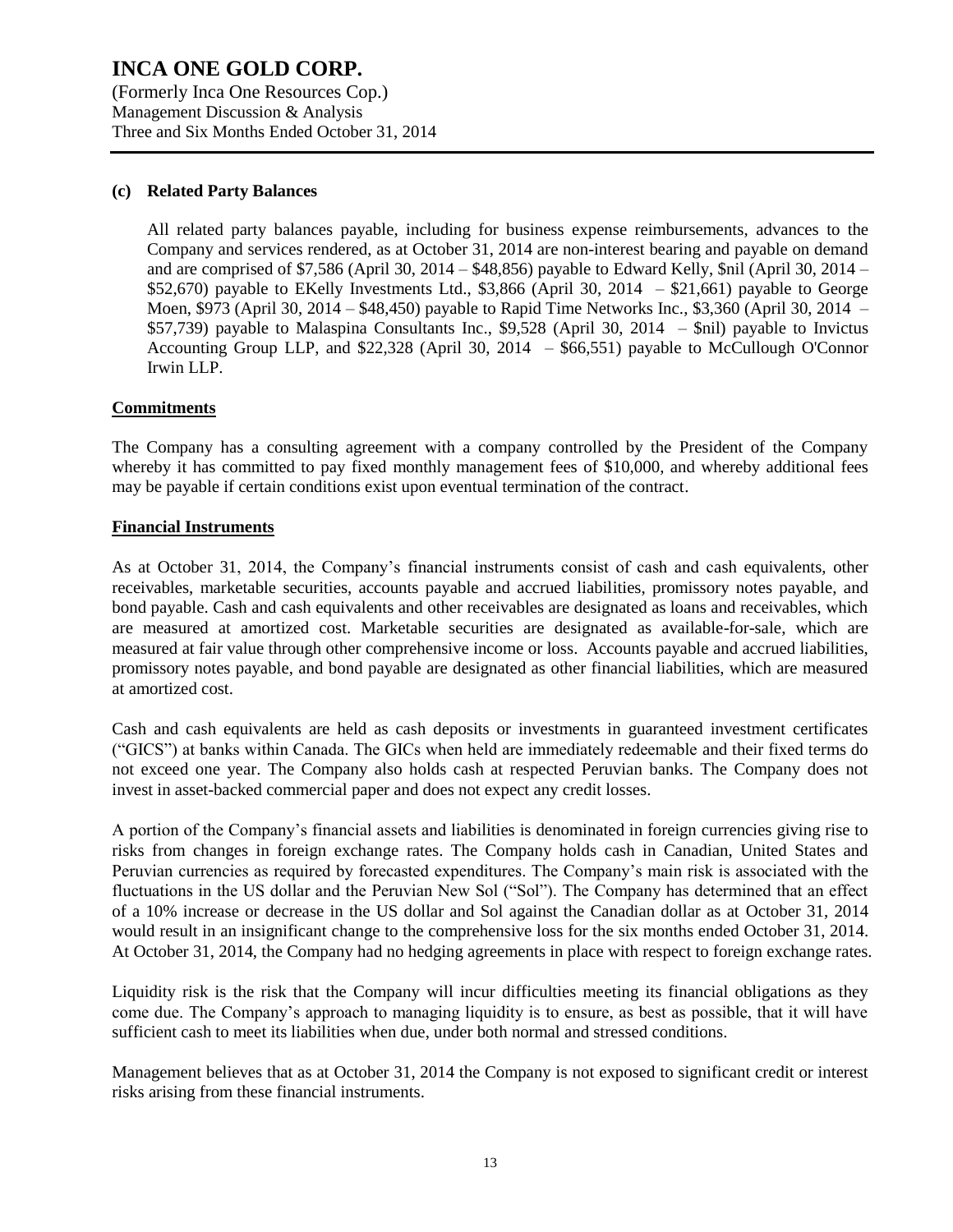(Formerly Inca One Resources Cop.) Management Discussion & Analysis Three and Six Months Ended October 31, 2014

### **(c) Related Party Balances**

All related party balances payable, including for business expense reimbursements, advances to the Company and services rendered, as at October 31, 2014 are non-interest bearing and payable on demand and are comprised of \$7,586 (April 30, 2014 – \$48,856) payable to Edward Kelly, \$nil (April 30, 2014 – \$52,670) payable to EKelly Investments Ltd., \$3,866 (April 30, 2014 – \$21,661) payable to George Moen, \$973 (April 30, 2014 – \$48,450) payable to Rapid Time Networks Inc., \$3,360 (April 30, 2014 – \$57,739) payable to Malaspina Consultants Inc., \$9,528 (April 30, 2014 – \$nil) payable to Invictus Accounting Group LLP, and \$22,328 (April 30, 2014 – \$66,551) payable to McCullough O'Connor Irwin LLP.

#### **Commitments**

The Company has a consulting agreement with a company controlled by the President of the Company whereby it has committed to pay fixed monthly management fees of \$10,000, and whereby additional fees may be payable if certain conditions exist upon eventual termination of the contract.

#### **Financial Instruments**

As at October 31, 2014, the Company's financial instruments consist of cash and cash equivalents, other receivables, marketable securities, accounts payable and accrued liabilities, promissory notes payable, and bond payable. Cash and cash equivalents and other receivables are designated as loans and receivables, which are measured at amortized cost. Marketable securities are designated as available-for-sale, which are measured at fair value through other comprehensive income or loss. Accounts payable and accrued liabilities, promissory notes payable, and bond payable are designated as other financial liabilities, which are measured at amortized cost.

Cash and cash equivalents are held as cash deposits or investments in guaranteed investment certificates ("GICS") at banks within Canada. The GICs when held are immediately redeemable and their fixed terms do not exceed one year. The Company also holds cash at respected Peruvian banks. The Company does not invest in asset-backed commercial paper and does not expect any credit losses.

A portion of the Company's financial assets and liabilities is denominated in foreign currencies giving rise to risks from changes in foreign exchange rates. The Company holds cash in Canadian, United States and Peruvian currencies as required by forecasted expenditures. The Company's main risk is associated with the fluctuations in the US dollar and the Peruvian New Sol ("Sol"). The Company has determined that an effect of a 10% increase or decrease in the US dollar and Sol against the Canadian dollar as at October 31, 2014 would result in an insignificant change to the comprehensive loss for the six months ended October 31, 2014. At October 31, 2014, the Company had no hedging agreements in place with respect to foreign exchange rates.

Liquidity risk is the risk that the Company will incur difficulties meeting its financial obligations as they come due. The Company's approach to managing liquidity is to ensure, as best as possible, that it will have sufficient cash to meet its liabilities when due, under both normal and stressed conditions.

Management believes that as at October 31, 2014 the Company is not exposed to significant credit or interest risks arising from these financial instruments.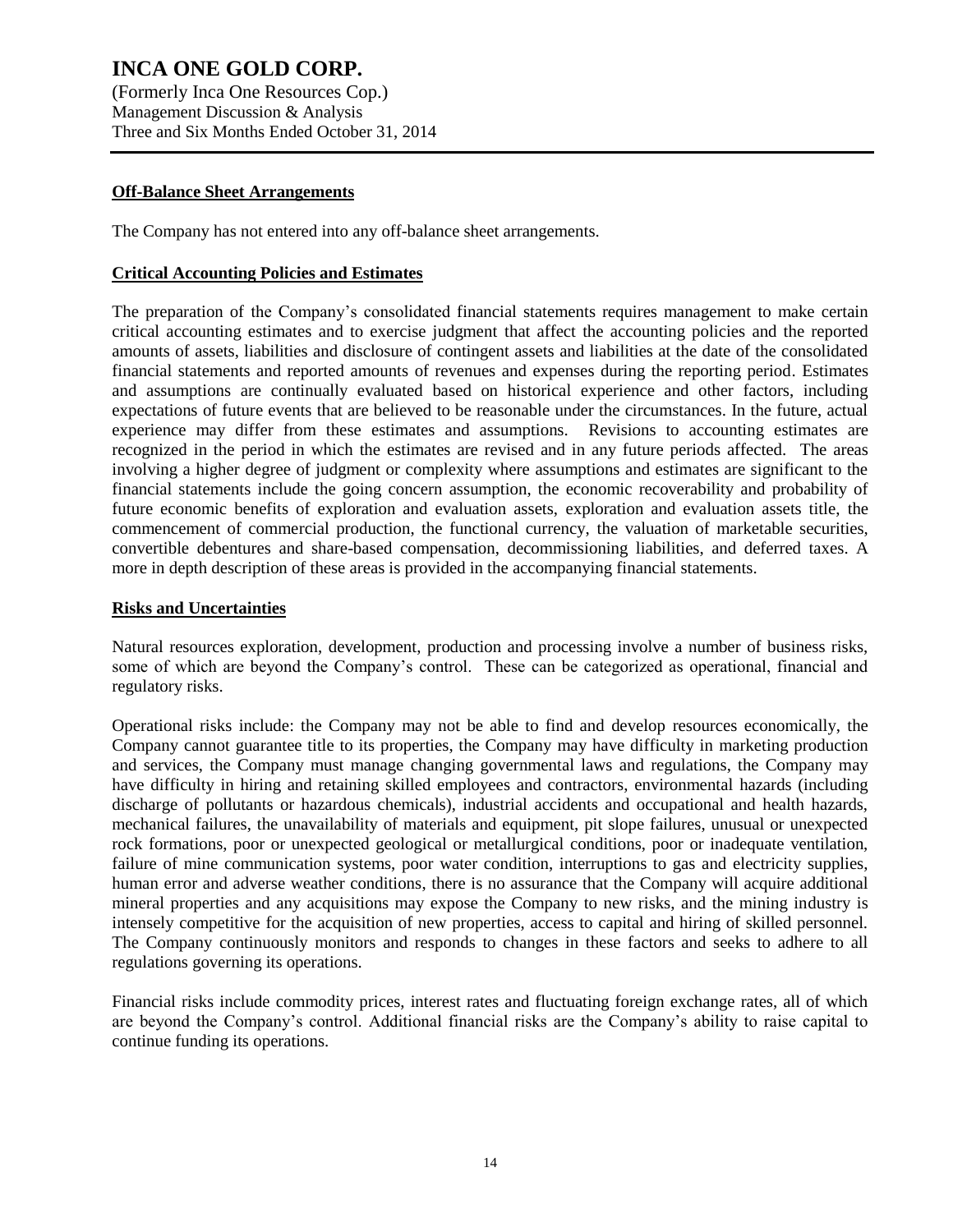(Formerly Inca One Resources Cop.) Management Discussion & Analysis Three and Six Months Ended October 31, 2014

### **Off-Balance Sheet Arrangements**

The Company has not entered into any off-balance sheet arrangements.

### **Critical Accounting Policies and Estimates**

The preparation of the Company's consolidated financial statements requires management to make certain critical accounting estimates and to exercise judgment that affect the accounting policies and the reported amounts of assets, liabilities and disclosure of contingent assets and liabilities at the date of the consolidated financial statements and reported amounts of revenues and expenses during the reporting period. Estimates and assumptions are continually evaluated based on historical experience and other factors, including expectations of future events that are believed to be reasonable under the circumstances. In the future, actual experience may differ from these estimates and assumptions. Revisions to accounting estimates are recognized in the period in which the estimates are revised and in any future periods affected. The areas involving a higher degree of judgment or complexity where assumptions and estimates are significant to the financial statements include the going concern assumption, the economic recoverability and probability of future economic benefits of exploration and evaluation assets, exploration and evaluation assets title, the commencement of commercial production, the functional currency, the valuation of marketable securities, convertible debentures and share-based compensation, decommissioning liabilities, and deferred taxes. A more in depth description of these areas is provided in the accompanying financial statements.

#### **Risks and Uncertainties**

Natural resources exploration, development, production and processing involve a number of business risks, some of which are beyond the Company's control. These can be categorized as operational, financial and regulatory risks.

Operational risks include: the Company may not be able to find and develop resources economically, the Company cannot guarantee title to its properties, the Company may have difficulty in marketing production and services, the Company must manage changing governmental laws and regulations, the Company may have difficulty in hiring and retaining skilled employees and contractors, environmental hazards (including discharge of pollutants or hazardous chemicals), industrial accidents and occupational and health hazards, mechanical failures, the unavailability of materials and equipment, pit slope failures, unusual or unexpected rock formations, poor or unexpected geological or metallurgical conditions, poor or inadequate ventilation, failure of mine communication systems, poor water condition, interruptions to gas and electricity supplies, human error and adverse weather conditions, there is no assurance that the Company will acquire additional mineral properties and any acquisitions may expose the Company to new risks, and the mining industry is intensely competitive for the acquisition of new properties, access to capital and hiring of skilled personnel. The Company continuously monitors and responds to changes in these factors and seeks to adhere to all regulations governing its operations.

Financial risks include commodity prices, interest rates and fluctuating foreign exchange rates, all of which are beyond the Company's control. Additional financial risks are the Company's ability to raise capital to continue funding its operations.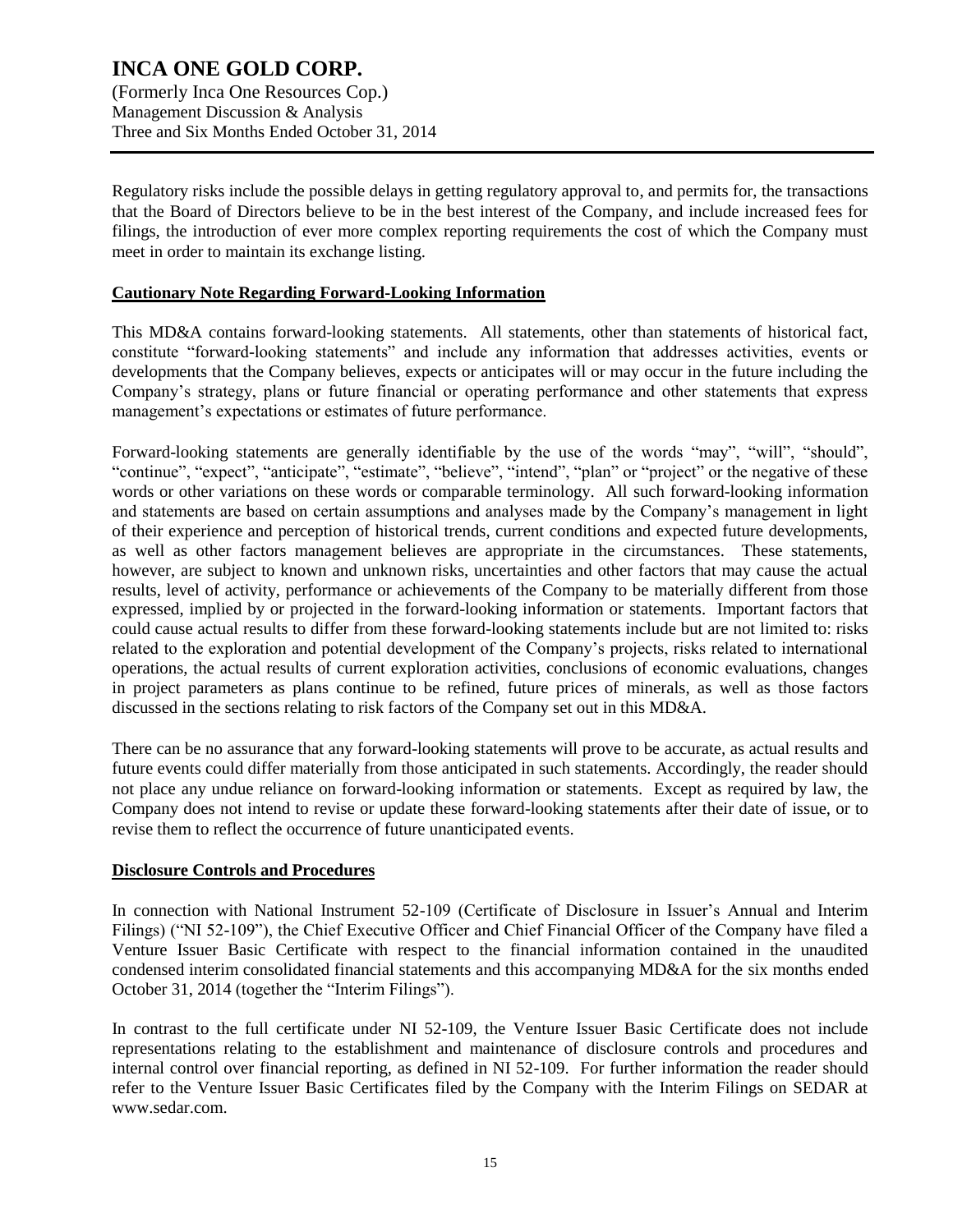(Formerly Inca One Resources Cop.) Management Discussion & Analysis Three and Six Months Ended October 31, 2014

Regulatory risks include the possible delays in getting regulatory approval to, and permits for, the transactions that the Board of Directors believe to be in the best interest of the Company, and include increased fees for filings, the introduction of ever more complex reporting requirements the cost of which the Company must meet in order to maintain its exchange listing.

#### **Cautionary Note Regarding Forward-Looking Information**

This MD&A contains forward-looking statements. All statements, other than statements of historical fact, constitute "forward-looking statements" and include any information that addresses activities, events or developments that the Company believes, expects or anticipates will or may occur in the future including the Company's strategy, plans or future financial or operating performance and other statements that express management's expectations or estimates of future performance.

Forward-looking statements are generally identifiable by the use of the words "may", "will", "should", "continue", "expect", "anticipate", "estimate", "believe", "intend", "plan" or "project" or the negative of these words or other variations on these words or comparable terminology. All such forward-looking information and statements are based on certain assumptions and analyses made by the Company's management in light of their experience and perception of historical trends, current conditions and expected future developments, as well as other factors management believes are appropriate in the circumstances. These statements, however, are subject to known and unknown risks, uncertainties and other factors that may cause the actual results, level of activity, performance or achievements of the Company to be materially different from those expressed, implied by or projected in the forward-looking information or statements. Important factors that could cause actual results to differ from these forward-looking statements include but are not limited to: risks related to the exploration and potential development of the Company's projects, risks related to international operations, the actual results of current exploration activities, conclusions of economic evaluations, changes in project parameters as plans continue to be refined, future prices of minerals, as well as those factors discussed in the sections relating to risk factors of the Company set out in this MD&A.

There can be no assurance that any forward-looking statements will prove to be accurate, as actual results and future events could differ materially from those anticipated in such statements. Accordingly, the reader should not place any undue reliance on forward-looking information or statements. Except as required by law, the Company does not intend to revise or update these forward-looking statements after their date of issue, or to revise them to reflect the occurrence of future unanticipated events.

#### **Disclosure Controls and Procedures**

In connection with National Instrument 52-109 (Certificate of Disclosure in Issuer's Annual and Interim Filings) ("NI 52-109"), the Chief Executive Officer and Chief Financial Officer of the Company have filed a Venture Issuer Basic Certificate with respect to the financial information contained in the unaudited condensed interim consolidated financial statements and this accompanying MD&A for the six months ended October 31, 2014 (together the "Interim Filings").

In contrast to the full certificate under NI 52-109, the Venture Issuer Basic Certificate does not include representations relating to the establishment and maintenance of disclosure controls and procedures and internal control over financial reporting, as defined in NI 52-109. For further information the reader should refer to the Venture Issuer Basic Certificates filed by the Company with the Interim Filings on SEDAR at www.sedar.com.